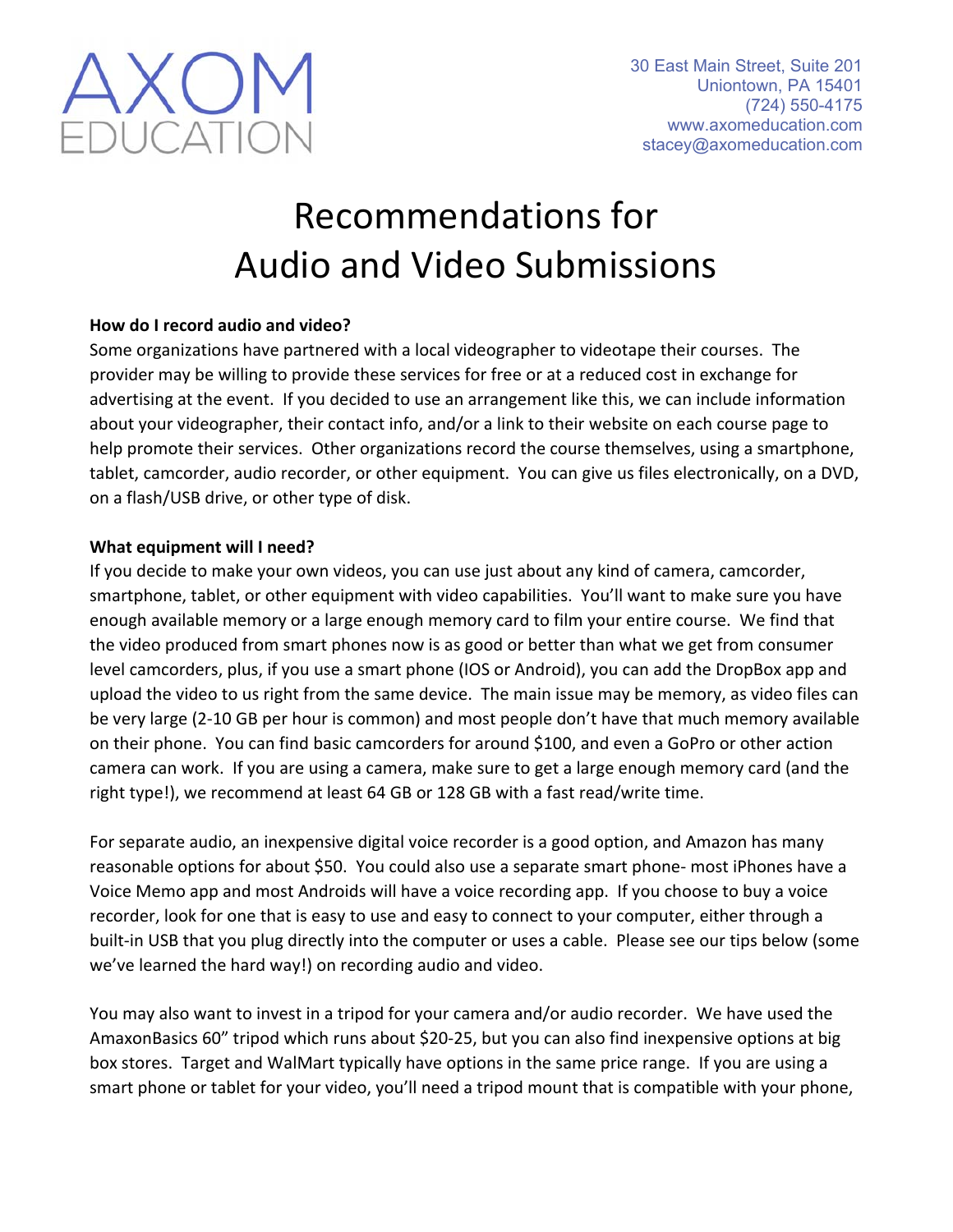

# Recommendations for Audio and Video Submissions

### **How do I record audio and video?**

Some organizations have partnered with a local videographer to videotape their courses. The provider may be willing to provide these services for free or at a reduced cost in exchange for advertising at the event. If you decided to use an arrangement like this, we can include information about your videographer, their contact info, and/or a link to their website on each course page to help promote their services. Other organizations record the course themselves, using a smartphone, tablet, camcorder, audio recorder, or other equipment. You can give us files electronically, on a DVD, on a flash/USB drive, or other type of disk.

#### **What equipment will I need?**

If you decide to make your own videos, you can use just about any kind of camera, camcorder, smartphone, tablet, or other equipment with video capabilities. You'll want to make sure you have enough available memory or a large enough memory card to film your entire course. We find that the video produced from smart phones now is as good or better than what we get from consumer level camcorders, plus, if you use a smart phone (IOS or Android), you can add the DropBox app and upload the video to us right from the same device. The main issue may be memory, as video files can be very large (2‐10 GB per hour is common) and most people don't have that much memory available on their phone. You can find basic camcorders for around \$100, and even a GoPro or other action camera can work. If you are using a camera, make sure to get a large enough memory card (and the right type!), we recommend at least 64 GB or 128 GB with a fast read/write time.

For separate audio, an inexpensive digital voice recorder is a good option, and Amazon has many reasonable options for about \$50. You could also use a separate smart phone- most iPhones have a Voice Memo app and most Androids will have a voice recording app. If you choose to buy a voice recorder, look for one that is easy to use and easy to connect to your computer, either through a built-in USB that you plug directly into the computer or uses a cable. Please see our tips below (some we've learned the hard way!) on recording audio and video.

You may also want to invest in a tripod for your camera and/or audio recorder. We have used the AmaxonBasics 60" tripod which runs about \$20‐25, but you can also find inexpensive options at big box stores. Target and WalMart typically have options in the same price range. If you are using a smart phone or tablet for your video, you'll need a tripod mount that is compatible with your phone,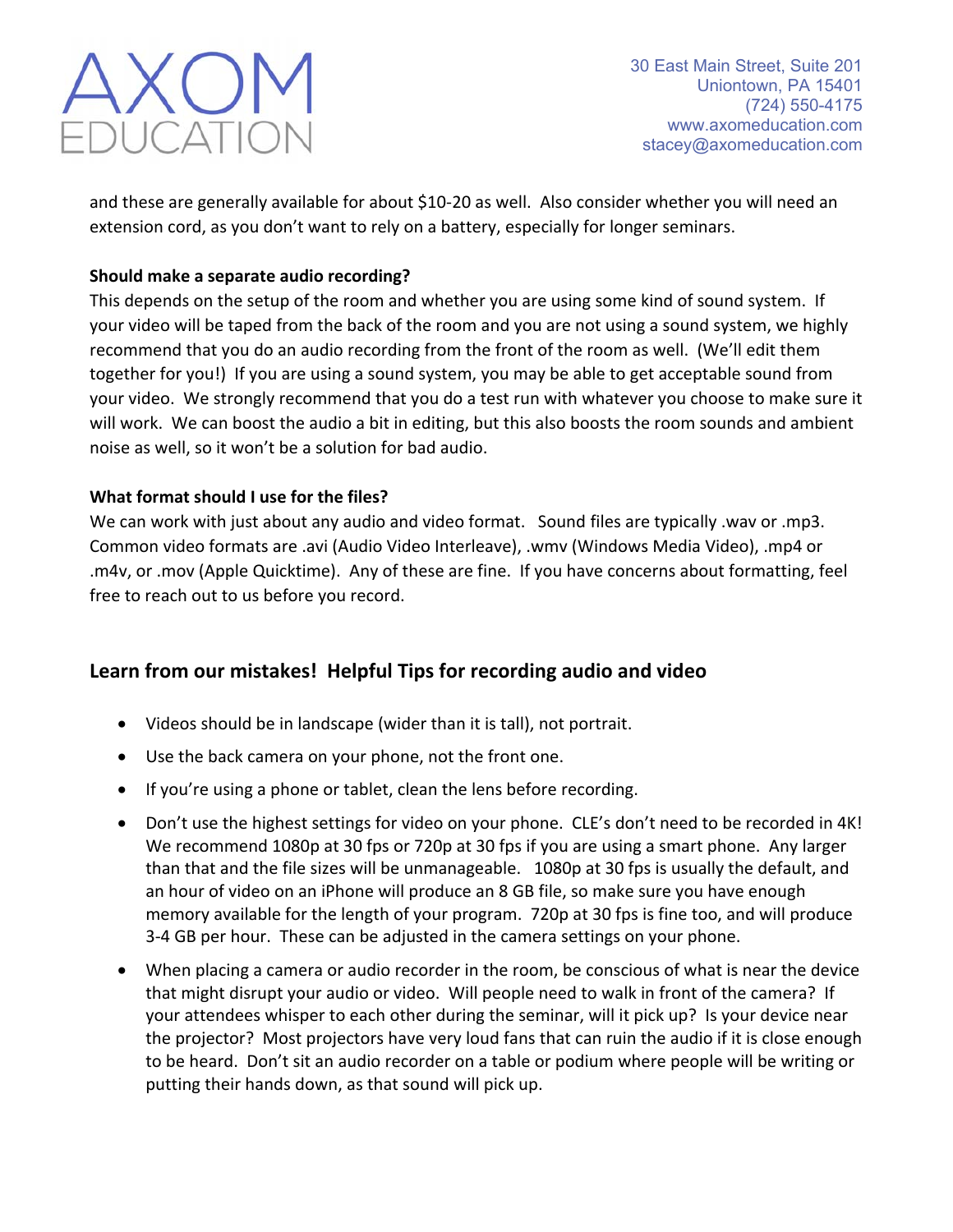

and these are generally available for about \$10‐20 as well. Also consider whether you will need an extension cord, as you don't want to rely on a battery, especially for longer seminars.

### **Should make a separate audio recording?**

This depends on the setup of the room and whether you are using some kind of sound system. If your video will be taped from the back of the room and you are not using a sound system, we highly recommend that you do an audio recording from the front of the room as well. (We'll edit them together for you!) If you are using a sound system, you may be able to get acceptable sound from your video. We strongly recommend that you do a test run with whatever you choose to make sure it will work. We can boost the audio a bit in editing, but this also boosts the room sounds and ambient noise as well, so it won't be a solution for bad audio.

#### **What format should I use for the files?**

We can work with just about any audio and video format. Sound files are typically .wav or .mp3. Common video formats are .avi (Audio Video Interleave), .wmv (Windows Media Video), .mp4 or .m4v, or .mov (Apple Quicktime). Any of these are fine. If you have concerns about formatting, feel free to reach out to us before you record.

## **Learn from our mistakes! Helpful Tips for recording audio and video**

- Videos should be in landscape (wider than it is tall), not portrait.
- Use the back camera on your phone, not the front one.
- If you're using a phone or tablet, clean the lens before recording.
- Don't use the highest settings for video on your phone. CLE's don't need to be recorded in 4K! We recommend 1080p at 30 fps or 720p at 30 fps if you are using a smart phone. Any larger than that and the file sizes will be unmanageable. 1080p at 30 fps is usually the default, and an hour of video on an iPhone will produce an 8 GB file, so make sure you have enough memory available for the length of your program. 720p at 30 fps is fine too, and will produce 3‐4 GB per hour. These can be adjusted in the camera settings on your phone.
- When placing a camera or audio recorder in the room, be conscious of what is near the device that might disrupt your audio or video. Will people need to walk in front of the camera? If your attendees whisper to each other during the seminar, will it pick up? Is your device near the projector? Most projectors have very loud fans that can ruin the audio if it is close enough to be heard. Don't sit an audio recorder on a table or podium where people will be writing or putting their hands down, as that sound will pick up.